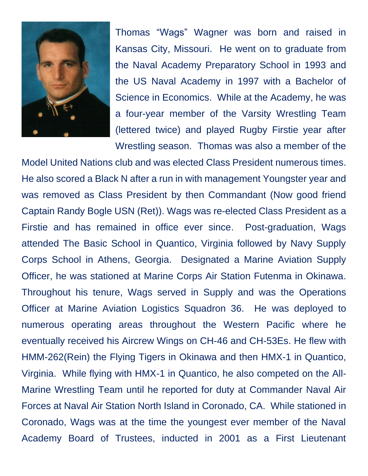

Thomas "Wags" Wagner was born and raised in Kansas City, Missouri. He went on to graduate from the Naval Academy Preparatory School in 1993 and the US Naval Academy in 1997 with a Bachelor of Science in Economics. While at the Academy, he was a four-year member of the Varsity Wrestling Team (lettered twice) and played Rugby Firstie year after Wrestling season. Thomas was also a member of the

Model United Nations club and was elected Class President numerous times. He also scored a Black N after a run in with management Youngster year and was removed as Class President by then Commandant (Now good friend Captain Randy Bogle USN (Ret)). Wags was re-elected Class President as a Firstie and has remained in office ever since. Post-graduation, Wags attended The Basic School in Quantico, Virginia followed by Navy Supply Corps School in Athens, Georgia. Designated a Marine Aviation Supply Officer, he was stationed at Marine Corps Air Station Futenma in Okinawa. Throughout his tenure, Wags served in Supply and was the Operations Officer at Marine Aviation Logistics Squadron 36. He was deployed to numerous operating areas throughout the Western Pacific where he eventually received his Aircrew Wings on CH-46 and CH-53Es. He flew with HMM-262(Rein) the Flying Tigers in Okinawa and then HMX-1 in Quantico, Virginia. While flying with HMX-1 in Quantico, he also competed on the All-Marine Wrestling Team until he reported for duty at Commander Naval Air Forces at Naval Air Station North Island in Coronado, CA. While stationed in Coronado, Wags was at the time the youngest ever member of the Naval Academy Board of Trustees, inducted in 2001 as a First Lieutenant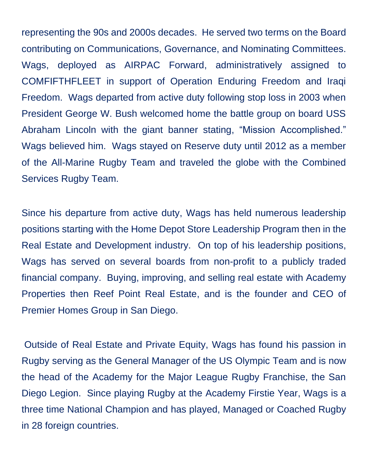representing the 90s and 2000s decades. He served two terms on the Board contributing on Communications, Governance, and Nominating Committees. Wags, deployed as AIRPAC Forward, administratively assigned to COMFIFTHFLEET in support of Operation Enduring Freedom and Iraqi Freedom. Wags departed from active duty following stop loss in 2003 when President George W. Bush welcomed home the battle group on board USS Abraham Lincoln with the giant banner stating, "Mission Accomplished." Wags believed him. Wags stayed on Reserve duty until 2012 as a member of the All-Marine Rugby Team and traveled the globe with the Combined Services Rugby Team.

Since his departure from active duty, Wags has held numerous leadership positions starting with the Home Depot Store Leadership Program then in the Real Estate and Development industry. On top of his leadership positions, Wags has served on several boards from non-profit to a publicly traded financial company. Buying, improving, and selling real estate with Academy Properties then Reef Point Real Estate, and is the founder and CEO of Premier Homes Group in San Diego.

Outside of Real Estate and Private Equity, Wags has found his passion in Rugby serving as the General Manager of the US Olympic Team and is now the head of the Academy for the Major League Rugby Franchise, the San Diego Legion. Since playing Rugby at the Academy Firstie Year, Wags is a three time National Champion and has played, Managed or Coached Rugby in 28 foreign countries.